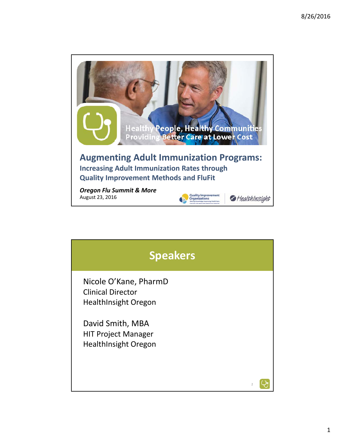

![](_page_0_Picture_2.jpeg)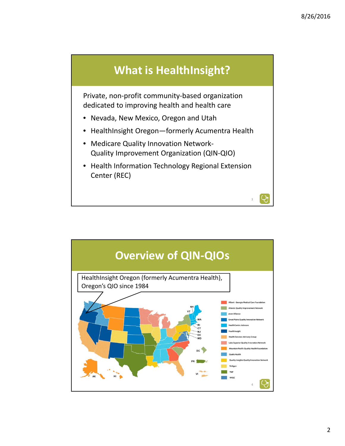## **What is HealthInsight?**

Private, non‐profit community‐based organization dedicated to improving health and health care

- Nevada, New Mexico, Oregon and Utah
- HealthInsight Oregon—formerly Acumentra Health
- Medicare Quality Innovation Network‐ Quality Improvement Organization (QIN‐QIO)
- Health Information Technology Regional Extension Center (REC)

3

Q

![](_page_1_Figure_7.jpeg)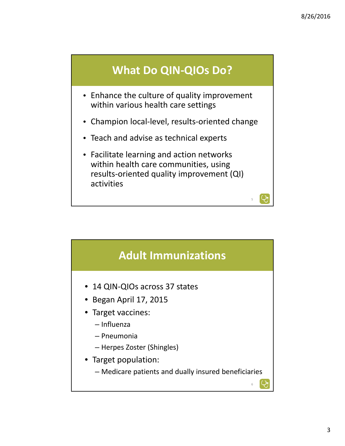![](_page_2_Figure_1.jpeg)

5

![](_page_2_Figure_2.jpeg)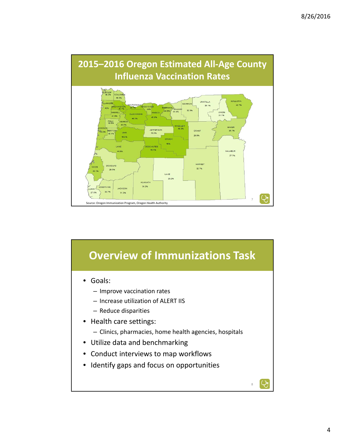![](_page_3_Figure_1.jpeg)

![](_page_3_Figure_2.jpeg)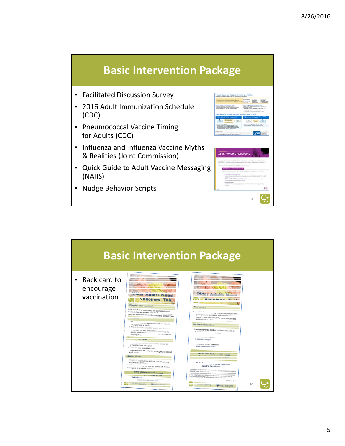## **Basic Intervention Package**

- Facilitated Discussion Survey
- 2016 Adult Immunization Schedule (CDC)
- Pneumococcal Vaccine Timing for Adults (CDC)
- Influenza and Influenza Vaccine Myths & Realities (Joint Commission)
- Quick Guide to Adult Vaccine Messaging (NAIIS)
- Nudge Behavior Scripts

![](_page_4_Figure_8.jpeg)

![](_page_4_Picture_9.jpeg)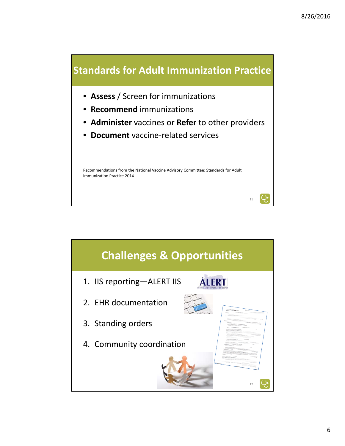![](_page_5_Figure_1.jpeg)

![](_page_5_Figure_2.jpeg)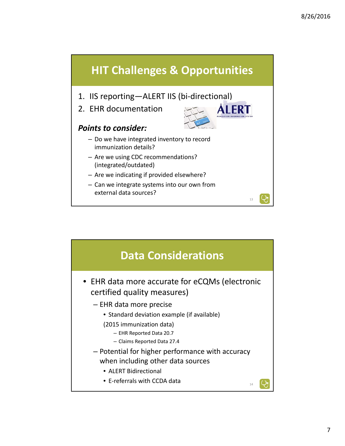![](_page_6_Figure_1.jpeg)

![](_page_6_Figure_2.jpeg)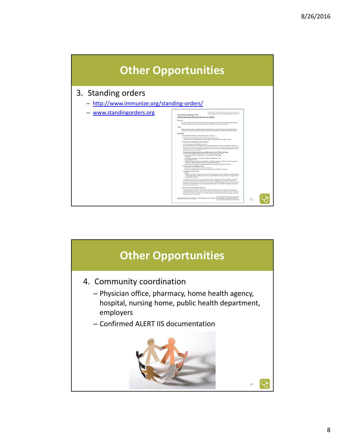![](_page_7_Figure_1.jpeg)

![](_page_7_Picture_2.jpeg)